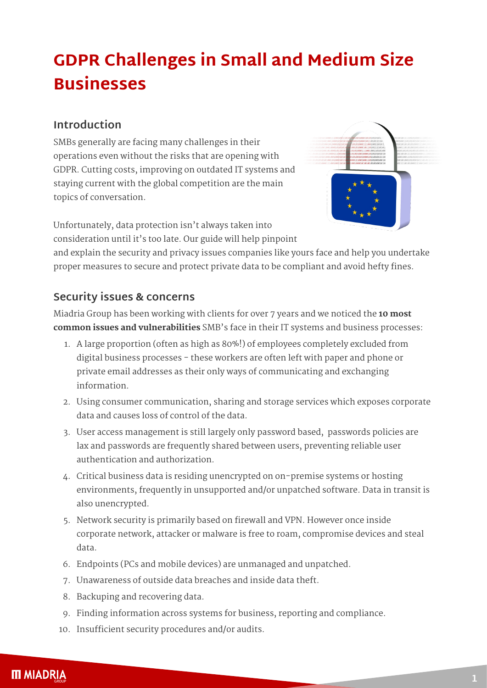# **GDPR Challenges in Small and Medium Size Businesses**

## **Introduction**

SMBs generally are facing many challenges in their operations even without the risks that are opening with GDPR. Cutting costs, improving on outdated IT systems and staying current with the global competition are the main topics of conversation.



Unfortunately, data protection isn't always taken into consideration until it's too late. Our guide will help pinpoint

and explain the security and privacy issues companies like yours face and help you undertake proper measures to secure and protect private data to be compliant and avoid hefty fines.

## **Security issues & concerns**

Miadria Group has been working with clients for over 7 years and we noticed the **10 most common issues and vulnerabilities** SMB's face in their IT systems and business processes:

- 1. A large proportion (often as high as 80%!) of employees completely excluded from digital business processes - these workers are often left with paper and phone or private email addresses as their only ways of communicating and exchanging information.
- 2. Using consumer communication, sharing and storage services which exposes corporate data and causes loss of control of the data.
- 3. User access management is still largely only password based, passwords policies are lax and passwords are frequently shared between users, preventing reliable user authentication and authorization.
- 4. Critical business data is residing unencrypted on on-premise systems or hosting environments, frequently in unsupported and/or unpatched software. Data in transit is also unencrypted.
- 5. Network security is primarily based on firewall and VPN. However once inside corporate network, attacker or malware is free to roam, compromise devices and steal data.
- 6. Endpoints (PCs and mobile devices) are unmanaged and unpatched.
- 7. Unawareness of outside data breaches and inside data theft.
- 8. Backuping and recovering data.
- 9. Finding information across systems for business, reporting and compliance.
- 10. Insufficient security procedures and/or audits.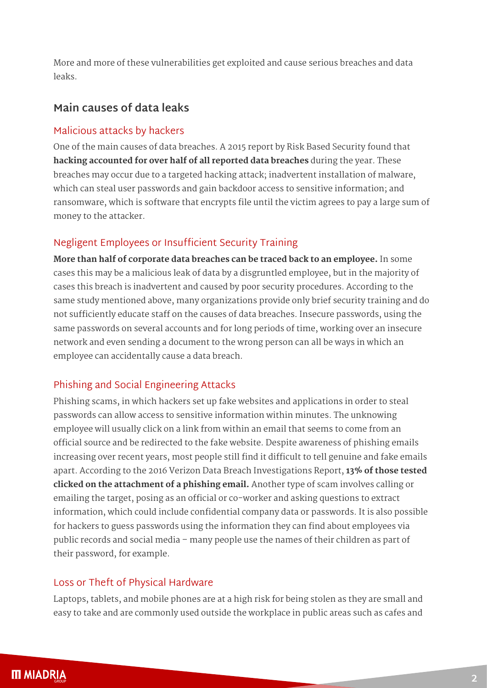More and more of these vulnerabilities get exploited and cause serious breaches and data leaks.

## **Main causes of data leaks**

#### Malicious attacks by hackers

One of the main causes of data breaches. A 2015 report by Risk Based Security found that **hacking accounted for over half of all reported data breaches** during the year. These breaches may occur due to a targeted hacking attack; inadvertent installation of malware, which can steal user passwords and gain backdoor access to sensitive information; and ransomware, which is software that encrypts file until the victim agrees to pay a large sum of money to the attacker.

### Negligent Employees or Insufficient Security Training

**More than half of corporate data breaches can be traced back to an employee.** In some cases this may be a malicious leak of data by a disgruntled employee, but in the majority of cases this breach is inadvertent and caused by poor security procedures. According to the same study mentioned above, many organizations provide only brief security training and do not sufficiently educate staff on the causes of data breaches. Insecure passwords, using the same passwords on several accounts and for long periods of time, working over an insecure network and even sending a document to the wrong person can all be ways in which an employee can accidentally cause a data breach.

#### Phishing and Social Engineering Attacks

Phishing scams, in which hackers set up fake websites and applications in order to steal passwords can allow access to sensitive information within minutes. The unknowing employee will usually click on a link from within an email that seems to come from an official source and be redirected to the fake website. Despite awareness of phishing emails increasing over recent years, most people still find it difficult to tell genuine and fake emails apart. According to the 2016 Verizon Data Breach Investigations Report, **13% of those tested clicked on the attachment of a phishing email.** Another type of scam involves calling or emailing the target, posing as an official or co-worker and asking questions to extract information, which could include confidential company data or passwords. It is also possible for hackers to guess passwords using the information they can find about employees via public records and social media – many people use the names of their children as part of their password, for example.

### Loss or Theft of Physical Hardware

Laptops, tablets, and mobile phones are at a high risk for being stolen as they are small and easy to take and are commonly used outside the workplace in public areas such as cafes and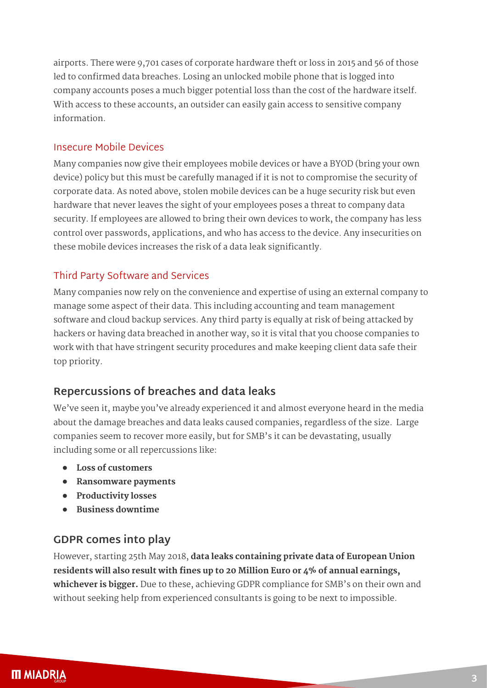airports. There were 9,701 cases of corporate hardware theft or loss in 2015 and 56 of those led to confirmed data breaches. Losing an unlocked mobile phone that is logged into company accounts poses a much bigger potential loss than the cost of the hardware itself. With access to these accounts, an outsider can easily gain access to sensitive company information.

#### Insecure Mobile Devices

Many companies now give their employees mobile devices or have a BYOD (bring your own device) policy but this must be carefully managed if it is not to compromise the security of corporate data. As noted above, stolen mobile devices can be a huge security risk but even hardware that never leaves the sight of your employees poses a threat to company data security. If employees are allowed to bring their own devices to work, the company has less control over passwords, applications, and who has access to the device. Any insecurities on these mobile devices increases the risk of a data leak significantly.

### Third Party Software and Services

Many companies now rely on the convenience and expertise of using an external company to manage some aspect of their data. This including accounting and team management software and cloud backup services. Any third party is equally at risk of being attacked by hackers or having data breached in another way, so it is vital that you choose companies to work with that have stringent security procedures and make keeping client data safe their top priority.

## **Repercussions of breaches and data leaks**

We've seen it, maybe you've already experienced it and almost everyone heard in the media about the damage breaches and data leaks caused companies, regardless of the size. Large companies seem to recover more easily, but for SMB's it can be devastating, usually including some or all repercussions like:

- **• Loss of customers**
- **• Ransomware payments**
- **• Productivity losses**
- **• Business downtime**

## **GDPR comes into play**

However, starting 25th May 2018, **data leaks containing private data of European Union residents will also result with fines up to 20 Million Euro or 4% of annual earnings, whichever is bigger.** Due to these, achieving GDPR compliance for SMB's on their own and without seeking help from experienced consultants is going to be next to impossible.